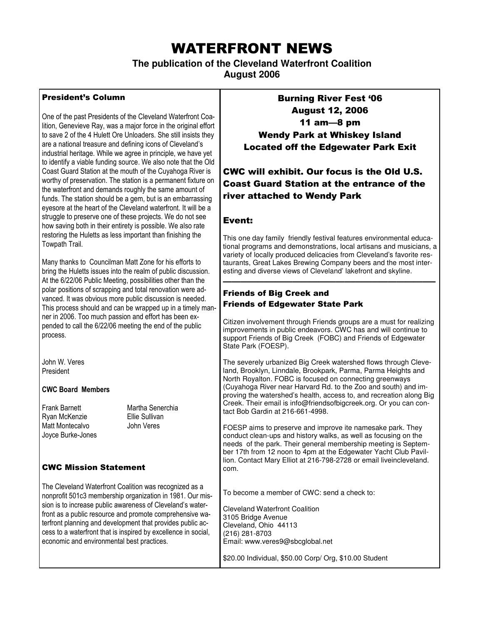## WATERFRONT NEWS

**The publication of the Cleveland Waterfront Coalition** 

**August 2006** 

#### President's Column

One of the past Presidents of the Cleveland Waterfront Coalition, Genevieve Ray, was a major force in the original effort to save 2 of the 4 Hulett Ore Unloaders. She still insists they are a national treasure and defining icons of Cleveland's industrial heritage. While we agree in principle, we have yet to identify a viable funding source. We also note that the Old Coast Guard Station at the mouth of the Cuyahoga River is worthy of preservation. The station is a permanent fixture on the waterfront and demands roughly the same amount of funds. The station should be a gem, but is an embarrassing eyesore at the heart of the Cleveland waterfront. It will be a struggle to preserve one of these projects. We do not see how saving both in their entirety is possible. We also rate restoring the Huletts as less important than finishing the Towpath Trail.

Many thanks to Councilman Matt Zone for his efforts to bring the Huletts issues into the realm of public discussion. At the 6/22/06 Public Meeting, possibilities other than the polar positions of scrapping and total renovation were advanced. It was obvious more public discussion is needed. This process should and can be wrapped up in a timely manner in 2006. Too much passion and effort has been expended to call the 6/22/06 meeting the end of the public process.

John W. Veres President

#### CWC Board Members

Frank Barnett Martha Senerchia Ryan McKenzie Ellie Sullivan Matt Montecalvo **John Veres** Joyce Burke-Jones

#### CWC Mission Statement

The Cleveland Waterfront Coalition was recognized as a nonprofit 501c3 membership organization in 1981. Our mission is to increase public awareness of Cleveland's waterfront as a public resource and promote comprehensive waterfront planning and development that provides public access to a waterfront that is inspired by excellence in social, economic and environmental best practices.

Burning River Fest '06 August 12, 2006 11 am—8 pm Wendy Park at Whiskey Island Located off the Edgewater Park Exit

### CWC will exhibit. Our focus is the Old U.S. Coast Guard Station at the entrance of the river attached to Wendy Park

#### Event:

This one day family friendly festival features environmental educational programs and demonstrations, local artisans and musicians, a variety of locally produced delicacies from Cleveland's favorite restaurants, Great Lakes Brewing Company beers and the most interesting and diverse views of Cleveland' lakefront and skyline.

————————————————————————–

#### Friends of Big Creek and Friends of Edgewater State Park

Citizen involvement through Friends groups are a must for realizing improvements in public endeavors. CWC has and will continue to support Friends of Big Creek (FOBC) and Friends of Edgewater State Park (FOESP).

The severely urbanized Big Creek watershed flows through Cleveland, Brooklyn, Linndale, Brookpark, Parma, Parma Heights and North Royalton. FOBC is focused on connecting greenways (Cuyahoga River near Harvard Rd. to the Zoo and south) and improving the watershed's health, access to, and recreation along Big Creek. Their email is info@friendsofbigcreek.org. Or you can contact Bob Gardin at 216-661-4998.

FOESP aims to preserve and improve ite namesake park. They conduct clean-ups and history walks, as well as focusing on the needs of the park. Their general membership meeting is September 17th from 12 noon to 4pm at the Edgewater Yacht Club Pavillion. Contact Mary Elliot at 216-798-2728 or email liveincleveland. com.

To become a member of CWC: send a check to:

Cleveland Waterfront Coalition 3105 Bridge Avenue Cleveland, Ohio 44113 (216) 281-8703 Email: www.veres9@sbcglobal.net

\$20.00 Individual, \$50.00 Corp/ Org, \$10.00 Student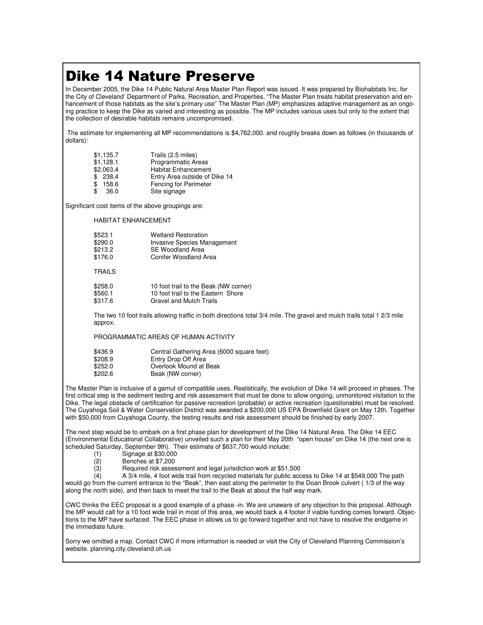## Dike 14 Nature Preserve

In December 2005, the Dike 14 Public Natural Area Master Plan Report was issued. It was prepared by Biohabitats Inc. for the City of Cleveland' Department of Parks, Recreation, and Properties. "The Master Plan treats habitat preservation and enhancement of those habitats as the site's primary use" The Master Plan (MP) emphasizes adaptive management as an ongoing practice to keep the Dike as varied and interesting as possible. The MP includes various uses but only to the extent that the collection of desirable habitats remains uncompromised.

 The estimate for implementing all MP recommendations is \$4,762,000. and roughly breaks down as follows (in thousands of dollars):

| \$1,135.7  | Trails (2.5 miles)            |
|------------|-------------------------------|
| \$1,128.1  | <b>Programmatic Areas</b>     |
| \$2,063.4  | <b>Habitat Enhancement</b>    |
| \$238.4    | Entry Area outside of Dike 14 |
| 158.6      | Fencing for Perimeter         |
| \$<br>36.0 | Site signage                  |

Significant cost items of the above groupings are:

HABITAT ENHANCEMENT

| \$523.1       | <b>Wetland Restoration</b>         |
|---------------|------------------------------------|
| \$290.0       | <b>Invasive Species Management</b> |
| \$213.2       | <b>SE Woodland Area</b>            |
| \$176.0       | <b>Conifer Woodland Area</b>       |
|               |                                    |
| <b>TRAILS</b> |                                    |

| \$258.0 | 10 foot trail to the Beak (NW corner) |
|---------|---------------------------------------|
| \$560.1 | 10 foot trail to the Eastern Shore    |
| \$317.6 | Gravel and Mulch Trails               |

 The two 10 foot trails allowing traffic in both directions total 3/4 mile. The gravel and mulch trails total 1 2/3 mile approx.

PROGRAMMATIC AREAS OF HUMAN ACTIVITY

| \$436.9 | Central Gathering Area (6000 square feet) |
|---------|-------------------------------------------|
| \$208.9 | Entry Drop Off Area                       |
| \$252.0 | Overlook Mound at Beak                    |
| \$202.6 | Beak (NW corner)                          |

The Master Plan is inclusive of a gamut of compatible uses. Realistically, the evolution of Dike 14 will proceed in phases. The first critical step is the sediment testing and risk assessment that must be done to allow ongoing, unmonitored visitation to the Dike. The legal obstacle of certification for passive recreation (probable) or active recreation (questionable) must be resolved. The Cuyahoga Soil & Water Conservation District was awarded a \$200,000 US EPA Brownfield Grant on May 12th. Together with \$50,000 from Cuyahoga County, the testing results and risk assessment should be finished by early 2007.

The next step would be to embark on a first phase plan for development of the Dike 14 Natural Area. The Dike 14 EEC (Environmental Educational Collaborative) unveiled such a plan for their May 20th "open house" on Dike 14 (the next one is scheduled Saturday, September 9th). Their estimate of \$637,700 would include:

- 
- (1) Signage at \$30,000
- (2) Benches at \$7,200<br>(3) Required risk asses Required risk assessment and legal jurisdiction work at \$51,500

 (4) A 3/4 mile, 4 foot wide trail from recycled materials for public access to Dike 14 at \$549,000 The path would go from the current entrance to the "Beak", then east along the perimeter to the Doan Brook culvert ( 1/3 of the way along the north side), and then back to meet the trail to the Beak at about the half way mark.

CWC thinks the EEC proposal is a good example of a phase -in. We are unaware of any objection to this proposal. Although the MP would call for a 10 foot wide trail in most of this area, we would back a 4 footer if viable funding comes forward. Objections to the MP have surfaced. The EEC phase in allows us to go forward together and not have to resolve the endgame in the immediate future.

Sorry we omitted a map. Contact CWC if more information is needed or visit the City of Cleveland Planning Commission's website. planning.city.cleveland.oh.us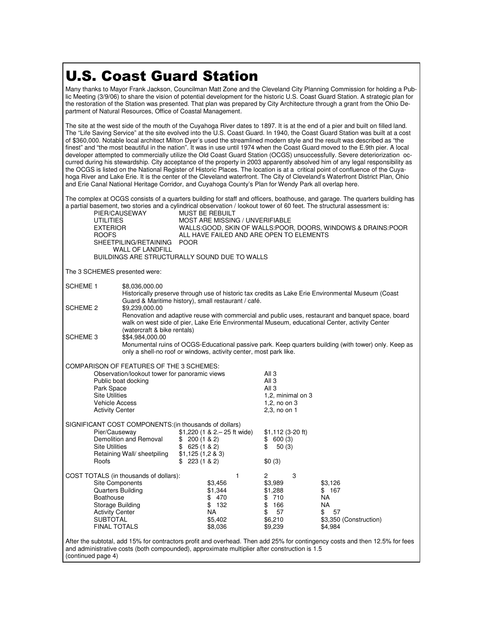# U.S. Coast Guard Station

Many thanks to Mayor Frank Jackson, Councilman Matt Zone and the Cleveland City Planning Commission for holding a Public Meeting (3/9/06) to share the vision of potential development for the historic U.S. Coast Guard Station. A strategic plan for the restoration of the Station was presented. That plan was prepared by City Architecture through a grant from the Ohio Department of Natural Resources, Office of Coastal Management.

The site at the west side of the mouth of the Cuyahoga River dates to 1897. It is at the end of a pier and built on filled land. The "Life Saving Service" at the site evolved into the U.S. Coast Guard. In 1940, the Coast Guard Station was built at a cost of \$360,000. Notable local architect Milton Dyer's used the streamlined modern style and the result was described as "the finest" and "the most beautiful in the nation". It was in use until 1974 when the Coast Guard moved to the E.9th pier. A local developer attempted to commercially utilize the Old Coast Guard Station (OCGS) unsuccessfully. Severe deteriorization occurred during his stewardship. City acceptance of the property in 2003 apparently absolved him of any legal responsibility as the OCGS is listed on the National Register of Historic Places. The location is at a critical point of confluence of the Cuyahoga River and Lake Erie. It is the center of the Cleveland waterfront. The City of Cleveland's Waterfront District Plan, Ohio and Erie Canal National Heritage Corridor, and Cuyahoga County's Plan for Wendy Park all overlap here.

The complex at OCGS consists of a quarters building for staff and officers, boathouse, and garage. The quarters building has a partial basement, two stories and a cylindrical observation / lookout tower of 60 feet. The structural assessment is:

| PIER/CAUSEWAY<br><b>UTILITIES</b><br><b>EXTERIOR</b><br><b>ROOFS</b><br>SHEETPILING/RETAINING<br><b>WALL OF LANDFILL</b>                                                                                 | <b>MUST BE REBUILT</b><br>MOST ARE MISSING / UNVERIFIABLE<br><b>POOR</b>                     | WALLS:GOOD, SKIN OF WALLS:POOR, DOORS, WINDOWS & DRAINS:POOR<br>ALL HAVE FAILED AND ARE OPEN TO ELEMENTS                                                                                             |  |
|----------------------------------------------------------------------------------------------------------------------------------------------------------------------------------------------------------|----------------------------------------------------------------------------------------------|------------------------------------------------------------------------------------------------------------------------------------------------------------------------------------------------------|--|
|                                                                                                                                                                                                          | BUILDINGS ARE STRUCTURALLY SOUND DUE TO WALLS                                                |                                                                                                                                                                                                      |  |
| The 3 SCHEMES presented were:                                                                                                                                                                            |                                                                                              |                                                                                                                                                                                                      |  |
| <b>SCHEME 1</b><br>\$8,036,000.00                                                                                                                                                                        | Guard & Maritime history), small restaurant / café.                                          | Historically preserve through use of historic tax credits as Lake Erie Environmental Museum (Coast                                                                                                   |  |
| SCHEME 2<br>\$9,239,000.00                                                                                                                                                                               | (watercraft & bike rentals)                                                                  | Renovation and adaptive reuse with commercial and public uses, restaurant and banquet space, board<br>walk on west side of pier, Lake Erie Environmental Museum, educational Center, activity Center |  |
| <b>SCHEME 3</b><br>\$\$4,984,000.00                                                                                                                                                                      | only a shell-no roof or windows, activity center, most park like.                            | Monumental ruins of OCGS-Educational passive park. Keep quarters building (with tower) only. Keep as                                                                                                 |  |
| COMPARISON OF FEATURES OF THE 3 SCHEMES:<br>Public boat docking<br>Park Space<br><b>Site Utilities</b><br><b>Vehicle Access</b><br><b>Activity Center</b>                                                | Observation/lookout tower for panoramic views                                                | All 3<br>All 3<br>All 3<br>1,2, minimal on 3<br>1,2, no on 3<br>2,3, no on 1                                                                                                                         |  |
| SIGNIFICANT COST COMPONENTS: (in thousands of dollars)<br>Pier/Causeway<br>Demolition and Removal<br><b>Site Utilities</b><br>Retaining Wall/ sheetpiling<br>Roofs                                       | $$1,220$ (1 & 2. - 25 ft wide)<br>\$200(1&82)<br>\$625(1&82)<br>\$1,125(1,283)<br>\$223(182) | $$1,112$ (3-20 ft)<br>\$600(3)<br>\$<br>50(3)<br>\$0(3)                                                                                                                                              |  |
| COST TOTALS (in thousands of dollars):<br><b>Site Components</b><br><b>Quarters Building</b><br><b>Boathouse</b><br>Storage Building<br><b>Activity Center</b><br><b>SUBTOTAL</b><br><b>FINAL TOTALS</b> | $\mathbf{1}$<br>\$3,456<br>\$1,344<br>\$470<br>\$132<br>NA.<br>\$5,402<br>\$8,036            | 3<br>2<br>\$3,989<br>\$3,126<br>\$1,288<br>\$ 167<br>\$710<br>NA.<br>\$166<br>NA.<br>57<br>\$<br>\$<br>57<br>\$6,210<br>\$3,350 (Construction)<br>\$9,239<br>\$4,984                                 |  |
| and administrative costs (both compounded), approximate multiplier after construction is 1.5                                                                                                             |                                                                                              | After the subtotal, add 15% for contractors profit and overhead. Then add 25% for contingency costs and then 12.5% for fees                                                                          |  |

(continued page 4)